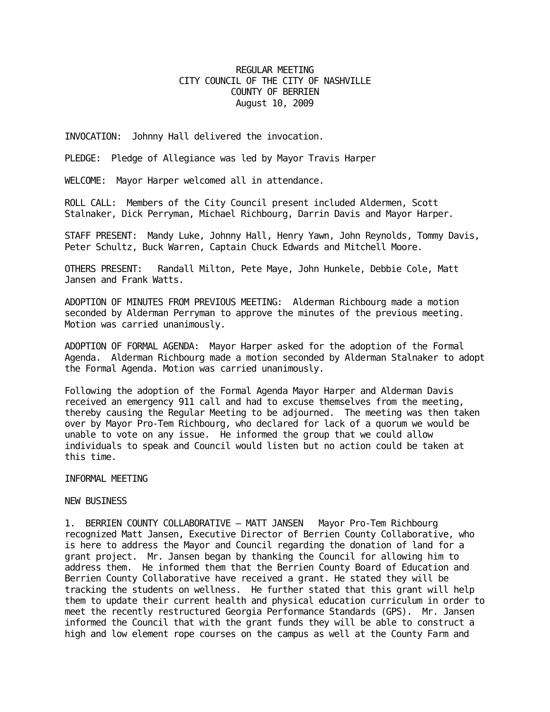## REGULAR MEETING CITY COUNCIL OF THE CITY OF NASHVILLE COUNTY OF BERRIEN August 10, 2009

INVOCATION: Johnny Hall delivered the invocation.

PLEDGE: Pledge of Allegiance was led by Mayor Travis Harper

WELCOME: Mayor Harper welcomed all in attendance.

ROLL CALL: Members of the City Council present included Aldermen, Scott Stalnaker, Dick Perryman, Michael Richbourg, Darrin Davis and Mayor Harper.

STAFF PRESENT: Mandy Luke, Johnny Hall, Henry Yawn, John Reynolds, Tommy Davis, Peter Schultz, Buck Warren, Captain Chuck Edwards and Mitchell Moore.

OTHERS PRESENT: Randall Milton, Pete Maye, John Hunkele, Debbie Cole, Matt Jansen and Frank Watts.

ADOPTION OF MINUTES FROM PREVIOUS MEETING: Alderman Richbourg made a motion seconded by Alderman Perryman to approve the minutes of the previous meeting. Motion was carried unanimously.

ADOPTION OF FORMAL AGENDA: Mayor Harper asked for the adoption of the Formal Agenda. Alderman Richbourg made a motion seconded by Alderman Stalnaker to adopt the Formal Agenda. Motion was carried unanimously.

Following the adoption of the Formal Agenda Mayor Harper and Alderman Davis received an emergency 911 call and had to excuse themselves from the meeting, thereby causing the Regular Meeting to be adjourned. The meeting was then taken over by Mayor Pro-Tem Richbourg, who declared for lack of a quorum we would be unable to vote on any issue. He informed the group that we could allow individuals to speak and Council would listen but no action could be taken at this time.

INFORMAL MEETING

NEW BUSINESS

1. BERRIEN COUNTY COLLABORATIVE – MATT JANSEN Mayor Pro-Tem Richbourg recognized Matt Jansen, Executive Director of Berrien County Collaborative, who is here to address the Mayor and Council regarding the donation of land for a grant project. Mr. Jansen began by thanking the Council for allowing him to address them. He informed them that the Berrien County Board of Education and Berrien County Collaborative have received a grant. He stated they will be tracking the students on wellness. He further stated that this grant will help them to update their current health and physical education curriculum in order to meet the recently restructured Georgia Performance Standards (GPS). Mr. Jansen informed the Council that with the grant funds they will be able to construct a high and low element rope courses on the campus as well at the County Farm and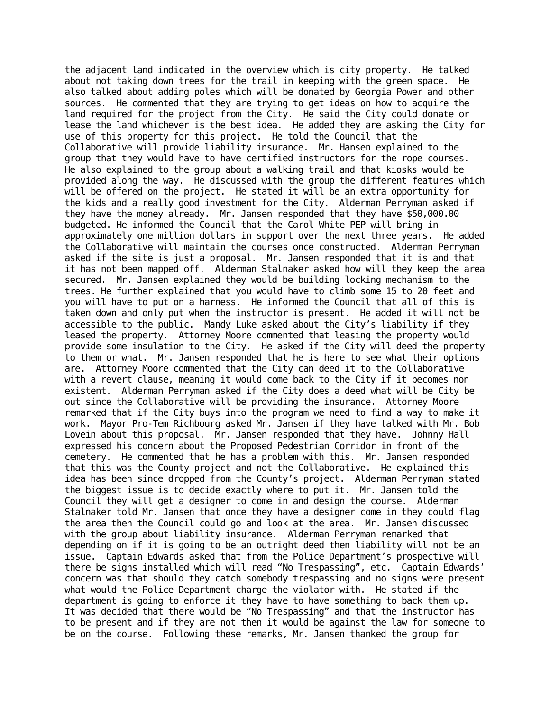the adjacent land indicated in the overview which is city property. He talked about not taking down trees for the trail in keeping with the green space. He also talked about adding poles which will be donated by Georgia Power and other sources. He commented that they are trying to get ideas on how to acquire the land required for the project from the City. He said the City could donate or lease the land whichever is the best idea. He added they are asking the City for use of this property for this project. He told the Council that the Collaborative will provide liability insurance. Mr. Hansen explained to the group that they would have to have certified instructors for the rope courses. He also explained to the group about a walking trail and that kiosks would be provided along the way. He discussed with the group the different features which will be offered on the project. He stated it will be an extra opportunity for the kids and a really good investment for the City. Alderman Perryman asked if they have the money already. Mr. Jansen responded that they have \$50,000.00 budgeted. He informed the Council that the Carol White PEP will bring in approximately one million dollars in support over the next three years. He added the Collaborative will maintain the courses once constructed. Alderman Perryman asked if the site is just a proposal. Mr. Jansen responded that it is and that it has not been mapped off. Alderman Stalnaker asked how will they keep the area secured. Mr. Jansen explained they would be building locking mechanism to the trees. He further explained that you would have to climb some 15 to 20 feet and you will have to put on a harness. He informed the Council that all of this is taken down and only put when the instructor is present. He added it will not be accessible to the public. Mandy Luke asked about the City's liability if they leased the property. Attorney Moore commented that leasing the property would provide some insulation to the City. He asked if the City will deed the property to them or what. Mr. Jansen responded that he is here to see what their options are. Attorney Moore commented that the City can deed it to the Collaborative with a revert clause, meaning it would come back to the City if it becomes non existent. Alderman Perryman asked if the City does a deed what will be City be out since the Collaborative will be providing the insurance. Attorney Moore remarked that if the City buys into the program we need to find a way to make it work. Mayor Pro-Tem Richbourg asked Mr. Jansen if they have talked with Mr. Bob Lovein about this proposal. Mr. Jansen responded that they have. Johnny Hall expressed his concern about the Proposed Pedestrian Corridor in front of the cemetery. He commented that he has a problem with this. Mr. Jansen responded that this was the County project and not the Collaborative. He explained this idea has been since dropped from the County's project. Alderman Perryman stated the biggest issue is to decide exactly where to put it. Mr. Jansen told the Council they will get a designer to come in and design the course. Alderman Stalnaker told Mr. Jansen that once they have a designer come in they could flag the area then the Council could go and look at the area. Mr. Jansen discussed with the group about liability insurance. Alderman Perryman remarked that depending on if it is going to be an outright deed then liability will not be an issue. Captain Edwards asked that from the Police Department's prospective will there be signs installed which will read "No Trespassing", etc. Captain Edwards' concern was that should they catch somebody trespassing and no signs were present what would the Police Department charge the violator with. He stated if the department is going to enforce it they have to have something to back them up. It was decided that there would be "No Trespassing" and that the instructor has to be present and if they are not then it would be against the law for someone to be on the course. Following these remarks, Mr. Jansen thanked the group for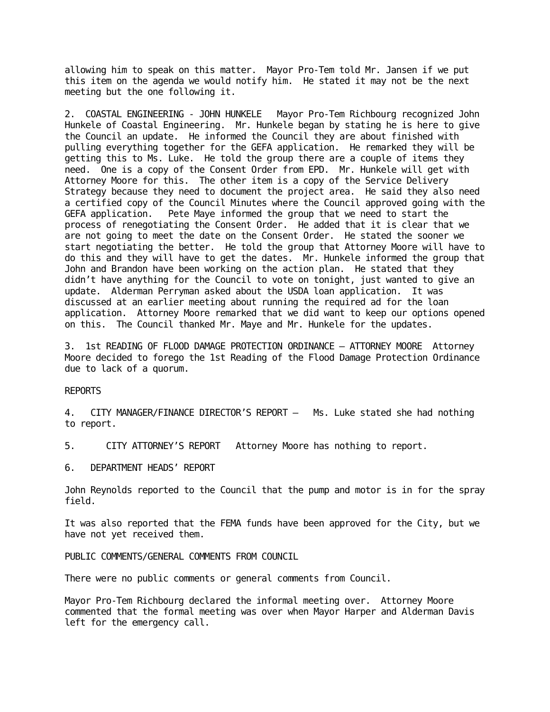allowing him to speak on this matter. Mayor Pro-Tem told Mr. Jansen if we put this item on the agenda we would notify him. He stated it may not be the next meeting but the one following it.

2. COASTAL ENGINEERING - JOHN HUNKELE Mayor Pro-Tem Richbourg recognized John Hunkele of Coastal Engineering. Mr. Hunkele began by stating he is here to give the Council an update. He informed the Council they are about finished with pulling everything together for the GEFA application. He remarked they will be getting this to Ms. Luke. He told the group there are a couple of items they need. One is a copy of the Consent Order from EPD. Mr. Hunkele will get with Attorney Moore for this. The other item is a copy of the Service Delivery Strategy because they need to document the project area. He said they also need a certified copy of the Council Minutes where the Council approved going with the GEFA application. Pete Maye informed the group that we need to start the process of renegotiating the Consent Order. He added that it is clear that we are not going to meet the date on the Consent Order. He stated the sooner we start negotiating the better. He told the group that Attorney Moore will have to do this and they will have to get the dates. Mr. Hunkele informed the group that John and Brandon have been working on the action plan. He stated that they didn't have anything for the Council to vote on tonight, just wanted to give an update. Alderman Perryman asked about the USDA loan application. It was discussed at an earlier meeting about running the required ad for the loan application. Attorney Moore remarked that we did want to keep our options opened on this. The Council thanked Mr. Maye and Mr. Hunkele for the updates.

3. 1st READING OF FLOOD DAMAGE PROTECTION ORDINANCE – ATTORNEY MOORE Attorney Moore decided to forego the 1st Reading of the Flood Damage Protection Ordinance due to lack of a quorum.

## REPORTS

4. CITY MANAGER/FINANCE DIRECTOR'S REPORT – Ms. Luke stated she had nothing to report.

5. CITY ATTORNEY'S REPORT Attorney Moore has nothing to report.

6. DEPARTMENT HEADS' REPORT

John Reynolds reported to the Council that the pump and motor is in for the spray field.

It was also reported that the FEMA funds have been approved for the City, but we have not yet received them.

PUBLIC COMMENTS/GENERAL COMMENTS FROM COUNCIL

There were no public comments or general comments from Council.

Mayor Pro-Tem Richbourg declared the informal meeting over. Attorney Moore commented that the formal meeting was over when Mayor Harper and Alderman Davis left for the emergency call.